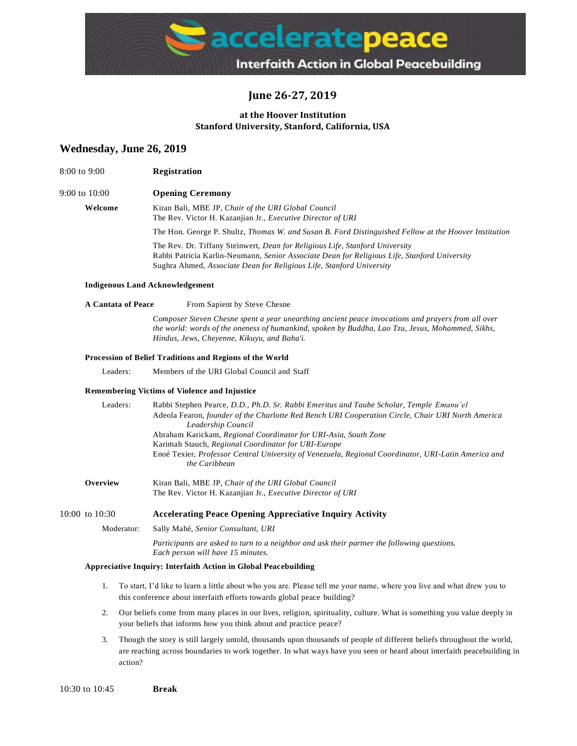

# **June 26-27, 2019**

### **at the Hoover Institution Stanford University, Stanford, California, USA**

### **Wednesday, June 26, 2019**

| 8:00 to 9:00  | <b>Registration</b>                                                                                                                                                                                                                                                                                                                                                                     |
|---------------|-----------------------------------------------------------------------------------------------------------------------------------------------------------------------------------------------------------------------------------------------------------------------------------------------------------------------------------------------------------------------------------------|
| 9:00 to 10:00 | <b>Opening Ceremony</b>                                                                                                                                                                                                                                                                                                                                                                 |
| Welcome       | Kiran Bali, MBE JP, Chair of the URI Global Council<br>The Rev. Victor H. Kazanjian Jr., Executive Director of URI                                                                                                                                                                                                                                                                      |
|               | The Hon. George P. Shultz, Thomas W. and Susan B. Ford Distinguished Fellow at the Hoover Institution                                                                                                                                                                                                                                                                                   |
|               | The Rev. Dr. Tiffany Steinwert, <i>Dean for Religious Life, Stanford University</i><br>$\mathbf{D}$ and $\mathbf{D}$ and $\mathbf{D}$ and $\mathbf{D}$ and $\mathbf{D}$ and $\mathbf{D}$ and $\mathbf{D}$ and $\mathbf{D}$ and $\mathbf{D}$ and $\mathbf{D}$ and $\mathbf{D}$ and $\mathbf{D}$ and $\mathbf{D}$ and $\mathbf{D}$ and $\mathbf{D}$ and $\mathbf{D}$ and $\mathbf{D}$ and |

Rabbi Patricia Karlin-Neumann, *Senior Associate Dean for Religious Life, Stanford University* Sughra Ahmed, *Associate Dean for Religious Life, Stanford University*

#### **Indigenous Land Acknowledgement**

#### **A Cantata of Peace** From Sapient by Steve Chesne

*Composer Steven Chesne spent a year unearthing ancient peace invocations and prayers from all over the world: words of the oneness of humankind, spoken by Buddha, Lao Tzu, Jesus, Mohammed, Sikhs, Hindus, Jews, Cheyenne, Kikuyu, and Baha'i.*

#### **Procession of Belief Traditions and Regions of the World**

Leaders: Members of the URI Global Council and Staff

#### **Remembering Victims of Violence and Injustice**

| Leaders:       | Rabbi Stephen Pearce, D.D., Ph.D. Sr. Rabbi Emeritus and Taube Scholar, Temple Emanu'el<br>Adeola Fearon, founder of the Charlotte Red Bench URI Cooperation Circle, Chair URI North America<br>Leadership Council<br>Abraham Karickam, Regional Coordinator for URI-Asia, South Zone<br>Karimah Stauch, Regional Coordinator for URI-Europe |
|----------------|----------------------------------------------------------------------------------------------------------------------------------------------------------------------------------------------------------------------------------------------------------------------------------------------------------------------------------------------|
|                | Enoé Texier, Professor Central University of Venezuela, Regional Coordinator, URI-Latin America and<br>the Caribbean                                                                                                                                                                                                                         |
| Overview       | Kiran Bali, MBE JP, Chair of the URI Global Council<br>The Rev. Victor H. Kazanjian Jr., Executive Director of URI                                                                                                                                                                                                                           |
| 10:00 to 10:30 | <b>Accelerating Peace Opening Appreciative Inquiry Activity</b>                                                                                                                                                                                                                                                                              |

Moderator: Sally Mahé, *Senior Consultant, URI*

*Participants are asked to turn to a neighbor and ask their partner the following questions. Each person will have 15 minutes.*

#### **Appreciative Inquiry: Interfaith Action in Global Peacebuilding**

- 1. To start, I'd like to learn a little about who you are. Please tell me your name, where you live and what drew you to this conference about interfaith efforts towards global peace building?
- 2. Our beliefs come from many places in our lives, religion, spirituality, culture. What is something you value deeply in your beliefs that informs how you think about and practice peace?
- 3. Though the story is still largely untold, thousands upon thousands of people of different beliefs throughout the world, are reaching across boundaries to work together. In what ways have you seen or heard about interfaith peacebuilding in action?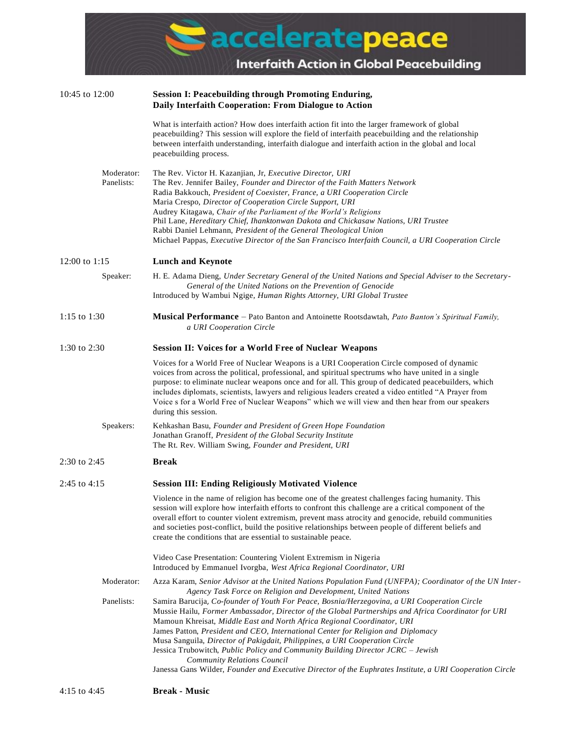| Michael Pappas, Executive Director of the San Francisco Interfaith Council, a URI Cooperation Circle                                                                                                                                                                                                             |
|------------------------------------------------------------------------------------------------------------------------------------------------------------------------------------------------------------------------------------------------------------------------------------------------------------------|
|                                                                                                                                                                                                                                                                                                                  |
| H. E. Adama Dieng, Under Secretary General of the United Nations and Special Adviser to the Secretary-                                                                                                                                                                                                           |
| <b>Musical Performance</b> – Pato Banton and Antoinette Rootsdawtah, Pato Banton's Spiritual Family,                                                                                                                                                                                                             |
|                                                                                                                                                                                                                                                                                                                  |
| purpose: to eliminate nuclear weapons once and for all. This group of dedicated peacebuilders, which<br>includes diplomats, scientists, lawyers and religious leaders created a video entitled "A Prayer from<br>Voice s for a World Free of Nuclear Weapons" which we will view and then hear from our speakers |
|                                                                                                                                                                                                                                                                                                                  |
|                                                                                                                                                                                                                                                                                                                  |
|                                                                                                                                                                                                                                                                                                                  |
| session will explore how interfaith efforts to confront this challenge are a critical component of the<br>overall effort to counter violent extremism, prevent mass atrocity and genocide, rebuild communities                                                                                                   |
|                                                                                                                                                                                                                                                                                                                  |
| Azza Karam, Senior Advisor at the United Nations Population Fund (UNFPA); Coordinator of the UN Inter-                                                                                                                                                                                                           |
|                                                                                                                                                                                                                                                                                                                  |

Mussie Hailu, *Former Ambassador, Director of the Global Partnerships and Africa Coordinator for URI*  Mamoun Khreisat, *Middle East and North Africa Regional Coordinator, URI*  James Patton, *President and CEO, International Center for Religion and Diplomacy*

Musa Sanguila, *Director of Pakigdait, Philippines, a URI Cooperation Circle*

Jessica Trubowitch, *Public Policy and Community Building Director JCRC – Jewish Community Relations Council*

Janessa Gans Wilder, *Founder and Executive Director of the Euphrates Institute, a URI Cooperation Circle*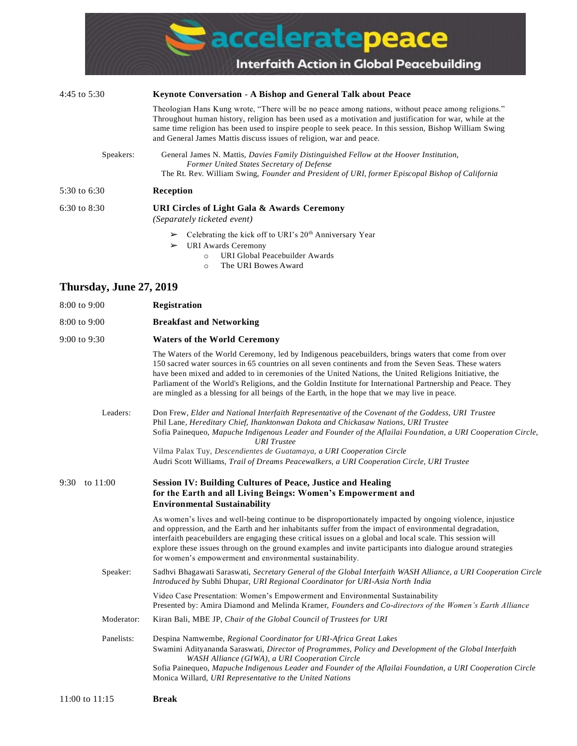

- ➢ URI Awards Ceremony
	- o URI Global Peacebuilder Awards
	- o The URI Bowes Award

# **Thursday, June 27, 2019**

| 8:00 to 9:00     | Registration                                                                                                                                                                                                                                                                                                                                                                                                                                                                                                                             |
|------------------|------------------------------------------------------------------------------------------------------------------------------------------------------------------------------------------------------------------------------------------------------------------------------------------------------------------------------------------------------------------------------------------------------------------------------------------------------------------------------------------------------------------------------------------|
| 8:00 to 9:00     | <b>Breakfast and Networking</b>                                                                                                                                                                                                                                                                                                                                                                                                                                                                                                          |
| 9:00 to 9:30     | <b>Waters of the World Ceremony</b>                                                                                                                                                                                                                                                                                                                                                                                                                                                                                                      |
|                  | The Waters of the World Ceremony, led by Indigenous peacebuilders, brings waters that come from over<br>150 sacred water sources in 65 countries on all seven continents and from the Seven Seas. These waters<br>have been mixed and added to in ceremonies of the United Nations, the United Religions Initiative, the<br>Parliament of the World's Religions, and the Goldin Institute for International Partnership and Peace. They<br>are mingled as a blessing for all beings of the Earth, in the hope that we may live in peace. |
| Leaders:         | Don Frew, Elder and National Interfaith Representative of the Covenant of the Goddess, URI Trustee<br>Phil Lane, Hereditary Chief, Ihanktonwan Dakota and Chickasaw Nations, URI Trustee<br>Sofia Painequeo, Mapuche Indigenous Leader and Founder of the Aflailai Foundation, a URI Cooperation Circle,                                                                                                                                                                                                                                 |
|                  | <b>URI</b> Trustee<br>Vilma Palax Tuy, Descendientes de Guatamaya, a URI Cooperation Circle                                                                                                                                                                                                                                                                                                                                                                                                                                              |
|                  | Audri Scott Williams, Trail of Dreams Peacewalkers, a URI Cooperation Circle, URI Trustee                                                                                                                                                                                                                                                                                                                                                                                                                                                |
| to 11:00<br>9:30 | <b>Session IV: Building Cultures of Peace, Justice and Healing</b><br>for the Earth and all Living Beings: Women's Empowerment and<br><b>Environmental Sustainability</b>                                                                                                                                                                                                                                                                                                                                                                |
|                  | As women's lives and well-being continue to be disproportionately impacted by ongoing violence, injustice<br>and oppression, and the Earth and her inhabitants suffer from the impact of environmental degradation,<br>interfaith peacebuilders are engaging these critical issues on a global and local scale. This session will<br>explore these issues through on the ground examples and invite participants into dialogue around strategies<br>for women's empowerment and environmental sustainability.                            |
| Speaker:         | Sadhvi Bhagawati Saraswati, Secretary General of the Global Interfaith WASH Alliance, a URI Cooperation Circle<br>Introduced by Subhi Dhupar, URI Regional Coordinator for URI-Asia North India                                                                                                                                                                                                                                                                                                                                          |
|                  | Video Case Presentation: Women's Empowerment and Environmental Sustainability<br>Presented by: Amira Diamond and Melinda Kramer, Founders and Co-directors of the Women's Earth Alliance                                                                                                                                                                                                                                                                                                                                                 |
| Moderator:       | Kiran Bali, MBE JP, Chair of the Global Council of Trustees for URI                                                                                                                                                                                                                                                                                                                                                                                                                                                                      |
| Panelists:       | Despina Namwembe, Regional Coordinator for URI-Africa Great Lakes<br>Swamini Adityananda Saraswati, Director of Programmes, Policy and Development of the Global Interfaith<br>WASH Alliance (GIWA), a URI Cooperation Circle<br>Sofia Painequeo, Mapuche Indigenous Leader and Founder of the Aflailai Foundation, a URI Cooperation Circle<br>Monica Willard, URI Representative to the United Nations                                                                                                                                 |